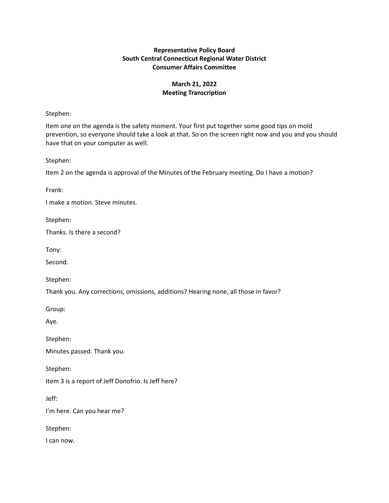## **Representative Policy Board South Central Connecticut Regional Water District Consumer Affairs Committee**

# **March 21, 2022 Meeting Transcription**

## Stephen:

Item one on the agenda is the safety moment. Your first put together some good tips on mold prevention, so everyone should take a look at that. So on the screen right now and you and you should have that on your computer as well.

Stephen:

Item 2 on the agenda is approval of the Minutes of the February meeting. Do I have a motion?

Frank:

I make a motion. Steve minutes.

Stephen:

Thanks. Is there a second?

Tony:

Second.

Stephen:

Thank you. Any corrections, omissions, additions? Hearing none, all those in favor?

Group:

Aye.

Stephen:

Minutes passed. Thank you.

Stephen:

Item 3 is a report of Jeff Donofrio. Is Jeff here?

Jeff:

I'm here. Can you hear me?

Stephen:

I can now.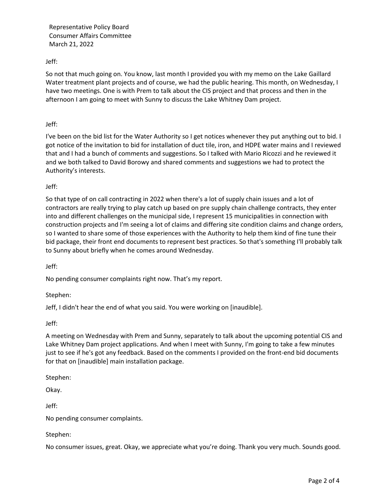Representative Policy Board Consumer Affairs Committee March 21, 2022

Jeff:

So not that much going on. You know, last month I provided you with my memo on the Lake Gaillard Water treatment plant projects and of course, we had the public hearing. This month, on Wednesday, I have two meetings. One is with Prem to talk about the CIS project and that process and then in the afternoon I am going to meet with Sunny to discuss the Lake Whitney Dam project.

### Jeff:

I've been on the bid list for the Water Authority so I get notices whenever they put anything out to bid. I got notice of the invitation to bid for installation of duct tile, iron, and HDPE water mains and I reviewed that and I had a bunch of comments and suggestions. So I talked with Mario Ricozzi and he reviewed it and we both talked to David Borowy and shared comments and suggestions we had to protect the Authority's interests.

### Jeff:

So that type of on call contracting in 2022 when there's a lot of supply chain issues and a lot of contractors are really trying to play catch up based on pre supply chain challenge contracts, they enter into and different challenges on the municipal side, I represent 15 municipalities in connection with construction projects and I'm seeing a lot of claims and differing site condition claims and change orders, so I wanted to share some of those experiences with the Authority to help them kind of fine tune their bid package, their front end documents to represent best practices. So that's something I'll probably talk to Sunny about briefly when he comes around Wednesday.

Jeff:

No pending consumer complaints right now. That's my report.

Stephen:

Jeff, I didn't hear the end of what you said. You were working on [inaudible].

Jeff:

A meeting on Wednesday with Prem and Sunny, separately to talk about the upcoming potential CIS and Lake Whitney Dam project applications. And when I meet with Sunny, I'm going to take a few minutes just to see if he's got any feedback. Based on the comments I provided on the front-end bid documents for that on [inaudible] main installation package.

Stephen:

Okay.

Jeff:

No pending consumer complaints.

Stephen:

No consumer issues, great. Okay, we appreciate what you're doing. Thank you very much. Sounds good.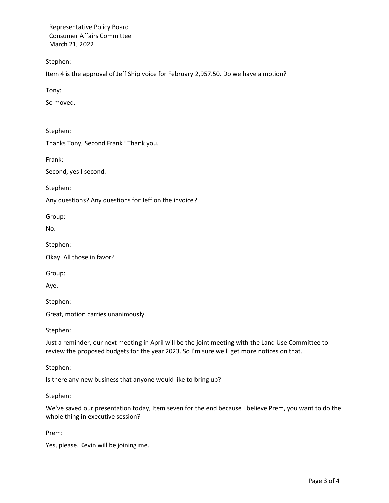Representative Policy Board Consumer Affairs Committee March 21, 2022

Stephen:

Item 4 is the approval of Jeff Ship voice for February 2,957.50. Do we have a motion?

Tony:

So moved.

Stephen:

Thanks Tony, Second Frank? Thank you.

Frank:

Second, yes I second.

Stephen:

Any questions? Any questions for Jeff on the invoice?

Group:

No.

Stephen:

Okay. All those in favor?

Group:

Aye.

Stephen:

Great, motion carries unanimously.

Stephen:

Just a reminder, our next meeting in April will be the joint meeting with the Land Use Committee to review the proposed budgets for the year 2023. So I'm sure we'll get more notices on that.

Stephen:

Is there any new business that anyone would like to bring up?

Stephen:

We've saved our presentation today, Item seven for the end because I believe Prem, you want to do the whole thing in executive session?

Prem:

Yes, please. Kevin will be joining me.